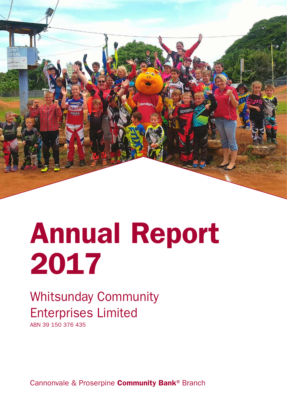

# Annual Report 2017

## Whitsunday Community Enterprises Limited

ABN 39 150 376 435

Cannonvale & Proserpine **Community Bank®** Branch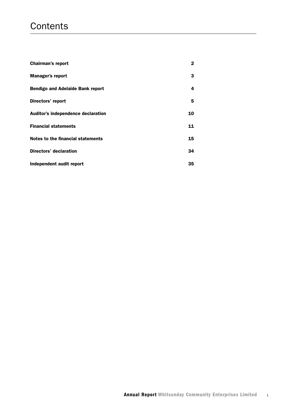## **Contents**

| <b>Chairman's report</b>                | $\mathbf{2}$ |
|-----------------------------------------|--------------|
| <b>Manager's report</b>                 | 3            |
| <b>Bendigo and Adelaide Bank report</b> | 4            |
| Directors' report                       | 5            |
| Auditor's independence declaration      | 10           |
| <b>Financial statements</b>             | 11           |
| Notes to the financial statements       | 15           |
| Directors' declaration                  | 34           |
| Independent audit report                | 35           |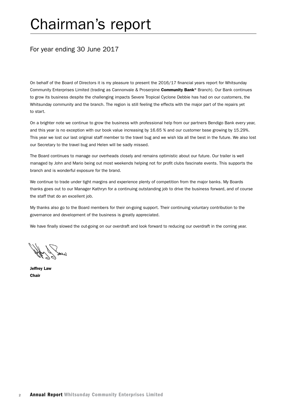## Chairman's report

## For year ending 30 June 2017

On behalf of the Board of Directors it is my pleasure to present the 2016/17 financial years report for Whitsunday Community Enterprises Limited (trading as Cannonvale & Proserpine Community Bank® Branch). Our Bank continues to grow its business despite the challenging impacts Severe Tropical Cyclone Debbie has had on our customers, the Whitsunday community and the branch. The region is still feeling the effects with the major part of the repairs yet to start.

On a brighter note we continue to grow the business with professional help from our partners Bendigo Bank every year, and this year is no exception with our book value increasing by 16.65 % and our customer base growing by 15.29%. This year we lost our last original staff member to the travel bug and we wish Ida all the best in the future. We also lost our Secretary to the travel bug and Helen will be sadly missed.

The Board continues to manage our overheads closely and remains optimistic about our future. Our trailer is well managed by John and Mario being out most weekends helping not for profit clubs fascinate events. This supports the branch and is wonderful exposure for the brand.

We continue to trade under tight margins and experience plenty of competition from the major banks. My Boards thanks goes out to our Manager Kathryn for a continuing outstanding job to drive the business forward, and of course the staff that do an excellent job.

My thanks also go to the Board members for their on-going support. Their continuing voluntary contribution to the governance and development of the business is greatly appreciated.

We have finally slowed the out-going on our overdraft and look forward to reducing our overdraft in the coming year.

Jeffrey Law Chair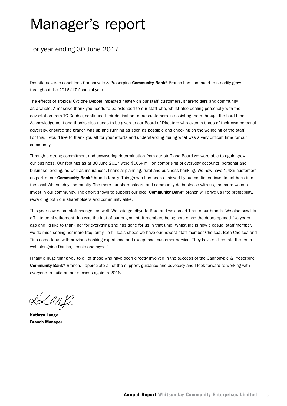## Manager's report

## For year ending 30 June 2017

Despite adverse conditions Cannonvale & Proserpine Community Bank® Branch has continued to steadily grow throughout the 2016/17 financial year.

The effects of Tropical Cyclone Debbie impacted heavily on our staff, customers, shareholders and community as a whole. A massive thank you needs to be extended to our staff who, whilst also dealing personally with the devastation from TC Debbie, continued their dedication to our customers in assisting them through the hard times. Acknowledgement and thanks also needs to be given to our Board of Directors who even in times of their own personal adversity, ensured the branch was up and running as soon as possible and checking on the wellbeing of the staff. For this, I would like to thank you all for your efforts and understanding during what was a very difficult time for our community.

Through a strong commitment and unwavering determination from our staff and Board we were able to again grow our business. Our footings as at 30 June 2017 were \$60.4 million comprising of everyday accounts, personal and business lending, as well as insurances, financial planning, rural and business banking. We now have 1,436 customers as part of our Community Bank® branch family. This growth has been achieved by our continued investment back into the local Whitsunday community. The more our shareholders and community do business with us, the more we can invest in our community. The effort shown to support our local **Community Bank®** branch will drive us into profitability, rewarding both our shareholders and community alike.

This year saw some staff changes as well. We said goodbye to Kara and welcomed Tina to our branch. We also saw Ida off into semi-retirement. Ida was the last of our original staff members being here since the doors opened five years ago and I'd like to thank her for everything she has done for us in that time. Whilst Ida is now a casual staff member, we do miss seeing her more frequently. To fill Ida's shoes we have our newest staff member Chelsea. Both Chelsea and Tina come to us with previous banking experience and exceptional customer service. They have settled into the team well alongside Danica, Leonie and myself.

Finally a huge thank you to all of those who have been directly involved in the success of the Cannonvale & Proserpine Community Bank® Branch. I appreciate all of the support, guidance and advocacy and I look forward to working with everyone to build on our success again in 2018.

Kanfl

Kathryn Lange Branch Manager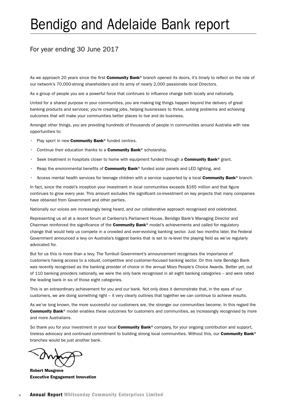## Bendigo and Adelaide Bank report

## For year ending 30 June 2017

As we approach 20 years since the first Community Bank® branch opened its doors, it's timely to reflect on the role of our network's 70,000-strong shareholders and its army of nearly 2,000 passionate local Directors.

As a group of people you are a powerful force that continues to influence change both locally and nationally.

United for a shared purpose in your communities, you are making big things happen beyond the delivery of great banking products and services; you're creating jobs, helping businesses to thrive, solving problems and achieving outcomes that will make your communities better places to live and do business.

Amongst other things, you are providing hundreds of thousands of people in communities around Australia with new opportunities to:

- Play sport in new Community Bank® funded centres.
- Continue their education thanks to a **Community Bank®** scholarship.
- Seek treatment in hospitals closer to home with equipment funded through a Community Bank® grant.
- Reap the environmental benefits of **Community Bank®** funded solar panels and LED lighting, and
- Access mental health services for teenage children with a service supported by a local Community Bank® branch.

In fact, since the model's inception your investment in local communities exceeds \$165 million and that figure continues to grow every year. This amount excludes the significant co-investment on key projects that many companies have obtained from Government and other parties.

Nationally our voices are increasingly being heard, and our collaborative approach recognised and celebrated.

Representing us all at a recent forum at Canberra's Parliament House, Bendigo Bank's Managing Director and Chairman reinforced the significance of the **Community Bank®** model's achievements and called for regulatory change that would help us compete in a crowded and ever-evolving banking sector. Just two months later, the Federal Government announced a levy on Australia's biggest banks that is set to re-level the playing field as we've regularly advocated for.

But for us this is more than a levy. The Turnbull Government's announcement recognises the importance of customers having access to a robust, competitive and customer-focused banking sector. On this note Bendigo Bank was recently recognised as the banking provider of choice in the annual Mozo People's Choice Awards. Better yet, out of 110 banking providers nationally, we were the only bank recognised in all eight banking categories – and were rated the leading bank in six of those eight categories.

This is an extraordinary achievement for you and our bank. Not only does it demonstrate that, in the eyes of our customers, we are doing something right – it very clearly outlines that together we can continue to achieve results.

As we've long known, the more successful our customers are, the stronger our communities become. In this regard the Community Bank<sup>®</sup> model enables these outcomes for customers and communities, as increasingly recognised by more and more Australians.

So thank you for your investment in your local **Community Bank®** company, for your ongoing contribution and support, tireless advocacy and continued commitment to building strong local communities. Without this, our Community Bank® branches would be just another bank.

Robert Musgrove Executive Engagement Innovation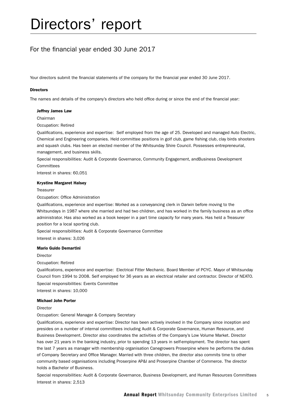## Directors' report

## For the financial year ended 30 June 2017

Your directors submit the financial statements of the company for the financial year ended 30 June 2017.

#### **Directors**

The names and details of the company's directors who held office during or since the end of the financial year:

#### Jeffrey James Law

Chairman

Occupation: Retired

Qualifications, experience and expertise: Self employed from the age of 25. Developed and managed Auto Electric, Chemical and Engineering companies. Held committee positions in golf club, game fishing club, clay birds shooters and squash clubs. Has been an elected member of the Whitsunday Shire Council. Possesses entrepreneurial, management, and business skills.

Special responsibilities: Audit & Corporate Governance, Community Engagement, andBusiness Development **Committees** 

Interest in shares: 60,051

#### Krystine Margaret Halsey

**Treasurer** 

Occupation: Office Administration

Qualifications, experience and expertise: Worked as a conveyancing clerk in Darwin before moving to the Whitsundays in 1987 where she married and had two children, and has worked in the family business as an office administrator. Has also worked as a book keeper in a part time capacity for many years. Has held a Treasurer position for a local sporting club.

Special responsibilities: Audit & Corporate Governance Committee

Interest in shares: 3,026

#### Mario Guido Demartini

Director

Occupation: Retired

Qualifications, experience and expertise: Electrical Fitter Mechanic. Board Member of PCYC. Mayor of Whitsunday Council from 1994 to 2008. Self employed for 36 years as an electrical retailer and contractor. Director of NEATO. Special responsibilities: Events Committee Interest in shares: 10,000

#### Michael John Porter

Director

Occupation: General Manager & Company Secretary

Qualifications, experience and expertise: Director has been actively involved in the Company since inception and presides on a number of internal committees including Audit & Corporate Governance, Human Resource, and Business Development. Director also coordinates the activities of the Company's Low Volume Market. Director has over 21 years in the banking industry, prior to spending 13 years in self-employment. The director has spent the last 7 years as manager with membership organisation Canegrowers Proserpine where he performs the duties of Company Secretary and Office Manager. Married with three children, the director also commits time to other community based organisations including Proserpine AP&I and Proserpine Chamber of Commerce. The director holds a Bachelor of Business.

Special responsibilities: Audit & Corporate Governance, Business Development, and Human Resources Committees Interest in shares: 2,513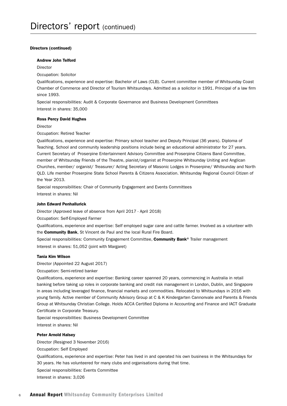#### Directors (continued)

#### Andrew John Telford

Director

Occupation: Solicitor

Qualifications, experience and expertise: Bachelor of Laws (CLB). Current committee member of Whitsunday Coast Chamber of Commerce and Director of Tourism Whitsundays. Admitted as a solicitor in 1991. Principal of a law firm since 1993.

Special responsibilities: Audit & Corporate Governance and Business Development Committees Interest in shares: 35,000

#### Ross Percy David Hughes

Director

Occupation: Retired Teacher

Qualifications, experience and expertise: Primary school teacher and Deputy Principal (36 years). Diploma of Teaching. School and community leadership positions include being an educational administrator for 27 years. Current Secretary of Proserpine Entertainment Advisory Committee and Proserpine Citizens Band Committee, member of Whitsunday Friends of the Theatre, pianist/organist at Proserpine Whitsunday Uniting and Anglican Churches, member/ organist/ Treasurer/ Acting Secretary of Masonic Lodges in Proserpine/ Whitsunday and North QLD. Life member Proserpine State School Parents & Citizens Association. Whitsunday Regional Council Citizen of the Year 2013.

Special responsibilities: Chair of Community Engagement and Events Committees

Interest in shares: Nil

#### John Edward Penhallurick

Director (Approved leave of absence from April 2017 - April 2018)

Occupation: Self-Employed Farmer

Qualifications, experience and expertise: Self employed sugar cane and cattle farmer. Involved as a volunteer with the Community Bank, St Vincent de Paul and the local Rural Fire Board.

Special responsibilities: Community Engagement Committee, Community Bank® Trailer management Interest in shares: 51,052 (joint with Margaret)

#### Tania Kim Wilson

Director (Appointed 22 August 2017)

Occupation: Semi-retired banker

Qualifications, experience and expertise: Banking career spanned 20 years, commencing in Australia in retail banking before taking up roles in corporate banking and credit risk management in London, Dublin, and Singapore in areas including leveraged finance, financial markets and commodities. Relocated to Whitsundays in 2016 with young family. Active member of Community Advisory Group at C & K Kindergarten Cannonvale and Parents & Friends Group at Whitsunday Christian College. Holds ACCA Certified Diploma in Accounting and Finance and IACT Graduate Certificate in Corporate Treasury.

Special responsibilities: Business Development Committee Interest in shares: Nil

Peter Arnold Halsey

Director (Resigned 3 November 2016)

Occupation: Self Employed

Qualifications, experience and expertise: Peter has lived in and operated his own business in the Whitsundays for 30 years. He has volunteered for many clubs and organisations during that time.

Special responsibilities: Events Committee

Interest in shares: 3,026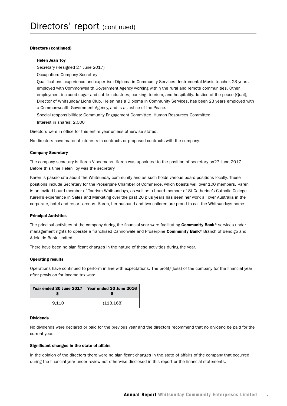#### Directors (continued)

#### Helen Jean Toy

Secretary (Resigned 27 June 2017)

Occupation: Company Secretary

Qualifications, experience and expertise: Diploma in Community Services. Instrumental Music teacher, 23 years employed with Commonwealth Government Agency working within the rural and remote communities. Other employment included sugar and cattle industries, banking, tourism, and hospitality. Justice of the peace (Qual), Director of Whitsunday Lions Club. Helen has a Diploma in Community Services, has been 23 years employed with a Commonwealth Government Agency, and is a Justice of the Peace.

Special responsibilities: Community Engagement Committee, Human Resources Committee

Interest in shares: 2,000

Directors were in office for this entire year unless otherwise stated.

No directors have material interests in contracts or proposed contracts with the company.

#### Company Secretary

The company secretary is Karen Vloedmans. Karen was appointed to the position of secretary on27 June 2017. Before this time Helen Toy was the secretary.

Karen is passionate about the Whitsunday community and as such holds various board positions locally. These positions include Secretary for the Proserpine Chamber of Commerce, which boasts well over 100 members. Karen is an invited board member of Tourism Whitsundays, as well as a board member of St Catherine's Catholic College. Karen's experience in Sales and Marketing over the past 20 plus years has seen her work all over Australia in the corporate, hotel and resort arenas. Karen, her husband and two children are proud to call the Whitsundays home.

#### Principal Activities

The principal activities of the company during the financial year were facilitating **Community Bank®** services under management rights to operate a franchised Cannonvale and Proserpine Community Bank® Branch of Bendigo and Adelaide Bank Limited.

There have been no significant changes in the nature of these activities during the year.

#### Operating results

Operations have continued to perform in line with expectations. The profit/(loss) of the company for the financial year after provision for income tax was:

|       | Year ended 30 June 2017   Year ended 30 June 2016 |
|-------|---------------------------------------------------|
| 9.110 | (113, 168)                                        |

#### Dividends

No dividends were declared or paid for the previous year and the directors recommend that no dividend be paid for the current year.

#### Significant changes in the state of affairs

In the opinion of the directors there were no significant changes in the state of affairs of the company that occurred during the financial year under review not otherwise disclosed in this report or the financial statements.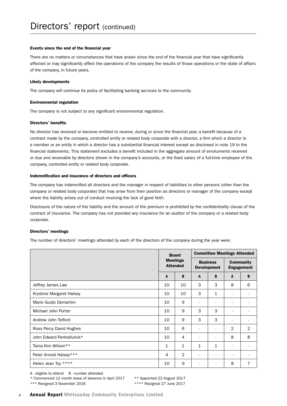#### Events since the end of the financial year

There are no matters or circumstances that have arisen since the end of the financial year that have significantly affected or may significantly affect the operations of the company the results of those operations or the state of affairs of the company, in future years.

#### Likely developments

The company will continue its policy of facilitating banking services to the community.

#### Environmental regulation

The company is not subject to any significant environmental regulation.

#### Directors' benefits

No director has received or become entitled to receive, during or since the financial year, a benefit because of a contract made by the company, controlled entity or related body corporate with a director, a firm which a director is a member or an entity in which a director has a substantial financial interest except as disclosed in note 19 to the financial statements. This statement excludes a benefit included in the aggregate amount of emoluments received or due and receivable by directors shown in the company's accounts, or the fixed salary of a full-time employee of the company, controlled entity or related body corporate.

#### Indemnification and insurance of directors and officers

The company has indemnified all directors and the manager in respect of liabilities to other persons (other than the company or related body corporate) that may arise from their position as directors or manager of the company except where the liability arises out of conduct involving the lack of good faith.

Disclosure of the nature of the liability and the amount of the premium is prohibited by the confidentiality clause of the contract of insurance. The company has not provided any insurance for an auditor of the company or a related body corporate.

#### Directors' meetings

The number of directors' meetings attended by each of the directors of the company during the year were:

|                           | <b>Board</b><br><b>Meetings</b><br><b>Attended</b> |    | <b>Committee Meetings Attended</b>    |                |                                       |   |
|---------------------------|----------------------------------------------------|----|---------------------------------------|----------------|---------------------------------------|---|
|                           |                                                    |    | <b>Business</b><br><b>Development</b> |                | <b>Community</b><br><b>Engagement</b> |   |
|                           | $\mathbf{A}$                                       | B  | A                                     | B              | $\mathbf{A}$                          | B |
| Jeffrey James Law         | 10                                                 | 10 | 3                                     | 3              | 8                                     | 6 |
| Krystine Margaret Halsey  | 10                                                 | 10 | 3                                     | $\mathbf{1}$   | ۰                                     |   |
| Mario Guido Demartini     | 10                                                 | 9  |                                       |                |                                       |   |
| Michael John Porter       | 10                                                 | 9  | 3                                     | 3              | $\overline{\phantom{a}}$              |   |
| Andrew John Telford       | 10                                                 | 9  | 3                                     | 3              |                                       |   |
| Ross Percy David Hughes   | 10                                                 | 6  | $\overline{a}$                        | $\blacksquare$ | 2                                     | 2 |
| John Edward Penhallurick* | 10                                                 | 4  |                                       |                | 8                                     | 8 |
| Tania Kim Wilson**        | 1                                                  | 1  | $\mathbf{1}$                          | $\mathbf{1}$   | ۰                                     |   |
| Peter Arnold Halsey***    | 4                                                  | 2  | $\overline{\phantom{a}}$              | ٠              | $\overline{\phantom{a}}$              |   |
| Helen Jean Toy ****       | 10                                                 | 9  |                                       |                | 8                                     | 7 |

A - eligible to attend B - number attended

\* Commenced 12 month leave of absence in April 2017 \*\* Appointed 22 August 2017

\*\*\* Resigned 3 November 2016 \*\*\*\* Resigned 27 June 2017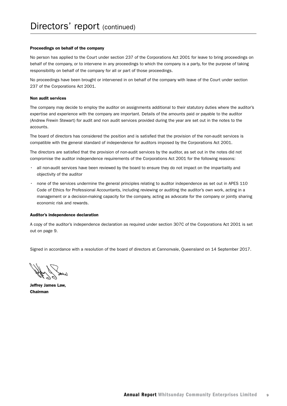#### Proceedings on behalf of the company

No person has applied to the Court under section 237 of the Corporations Act 2001 for leave to bring proceedings on behalf of the company, or to intervene in any proceedings to which the company is a party, for the purpose of taking responsibility on behalf of the company for all or part of those proceedings.

No proceedings have been brought or intervened in on behalf of the company with leave of the Court under section 237 of the Corporations Act 2001.

#### Non audit services

The company may decide to employ the auditor on assignments additional to their statutory duties where the auditor's expertise and experience with the company are important. Details of the amounts paid or payable to the auditor (Andrew Frewin Stewart) for audit and non audit services provided during the year are set out in the notes to the accounts.

The board of directors has considered the position and is satisfied that the provision of the non-audit services is compatible with the general standard of independence for auditors imposed by the Corporations Act 2001.

The directors are satisfied that the provision of non-audit services by the auditor, as set out in the notes did not compromise the auditor independence requirements of the Corporations Act 2001 for the following reasons:

- all non-audit services have been reviewed by the board to ensure they do not impact on the impartiality and objectivity of the auditor
- none of the services undermine the general principles relating to auditor independence as set out in APES 110 Code of Ethics for Professional Accountants, including reviewing or auditing the auditor's own work, acting in a management or a decision-making capacity for the company, acting as advocate for the company or jointly sharing economic risk and rewards.

#### Auditor's independence declaration

A copy of the auditor's independence declaration as required under section 307C of the Corporations Act 2001 is set out on page 9.

Signed in accordance with a resolution of the board of directors at Cannonvale, Queensland on 14 September 2017.

Jeffrey James Law, Chairman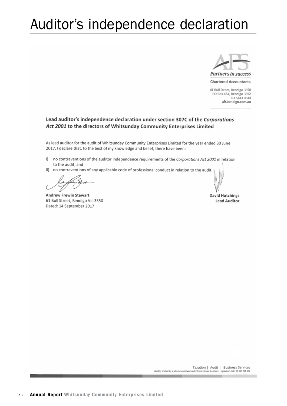## Auditor's independence declaration



**Chartered Accountants** 

61 Bull Street, Bendigo 3550 PO Box 454, Bendigo 3552 03 5443 0344 afsbendigo.com.au

#### Lead auditor's independence declaration under section 307C of the Corporations Act 2001 to the directors of Whitsunday Community Enterprises Limited

As lead auditor for the audit of Whitsunday Community Enterprises Limited for the year ended 30 June 2017, I declare that, to the best of my knowledge and belief, there have been:

- i) no contraventions of the auditor independence requirements of the Corporations Act 2001 in relation to the audit; and
- ii) no contraventions of any applicable code of professional conduct in relation to the audit.

**Andrew Frewin Stewart** 61 Bull Street, Bendigo Vic 3550 Dated: 14 September 2017

David Hutchings **Lead Auditor**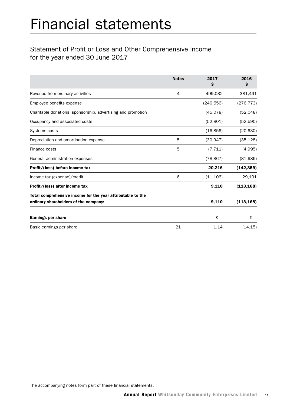## Financial statements

## Statement of Profit or Loss and Other Comprehensive Income for the year ended 30 June 2017

|                                                                                                      | <b>Notes</b> | 2017<br>\$ | 2016<br>\$ |
|------------------------------------------------------------------------------------------------------|--------------|------------|------------|
| Revenue from ordinary activities                                                                     | 4            | 499,032    | 381,491    |
| Employee benefits expense                                                                            |              | (246, 556) | (276, 773) |
| Charitable donations, sponsorship, advertising and promotion                                         |              | (45,078)   | (52,048)   |
| Occupancy and associated costs                                                                       |              | (52, 801)  | (52, 590)  |
| Systems costs                                                                                        |              | (16, 856)  | (20, 630)  |
| Depreciation and amortisation expense                                                                | 5            | (30, 947)  | (35, 128)  |
| Finance costs                                                                                        | 5            | (7, 711)   | (4,995)    |
| General administration expenses                                                                      |              | (78, 867)  | (81, 686)  |
| Profit/(loss) before income tax                                                                      |              | 20,216     | (142, 359) |
| Income tax (expense)/credit                                                                          | 6            | (11, 106)  | 29,191     |
| Profit/(loss) after income tax                                                                       |              | 9,110      | (113, 168) |
| Total comprehensive income for the year attributable to the<br>ordinary shareholders of the company: |              | 9,110      | (113, 168) |
| <b>Earnings per share</b>                                                                            |              | ¢          | ¢          |
| Basic earnings per share                                                                             | 21           | 1.14       | (14.15)    |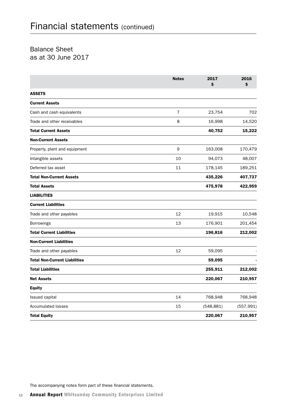## Balance Sheet as at 30 June 2017

|                                      | <b>Notes</b>   | 2017<br>\$ | 2016<br>\$ |
|--------------------------------------|----------------|------------|------------|
| <b>ASSETS</b>                        |                |            |            |
| <b>Current Assets</b>                |                |            |            |
| Cash and cash equivalents            | $\overline{7}$ | 23,754     | 702        |
| Trade and other receivables          | 8              | 16,998     | 14,520     |
| <b>Total Current Assets</b>          |                | 40,752     | 15,222     |
| <b>Non-Current Assets</b>            |                |            |            |
| Property, plant and equipment        | 9              | 163,008    | 170,479    |
| Intangible assets                    | 10             | 94,073     | 48,007     |
| Deferred tax asset                   | 11             | 178,145    | 189,251    |
| <b>Total Non-Current Assets</b>      |                | 435,226    | 407,737    |
| <b>Total Assets</b>                  |                | 475,978    | 422,959    |
| <b>LIABILITIES</b>                   |                |            |            |
| <b>Current Liabilities</b>           |                |            |            |
| Trade and other payables             | 12             | 19,915     | 10,548     |
| Borrowings                           | 13             | 176,901    | 201,454    |
| <b>Total Current Liabilities</b>     |                | 196,816    | 212,002    |
| <b>Non-Current Liabilities</b>       |                |            |            |
| Trade and other payables             | 12             | 59,095     |            |
| <b>Total Non-Current Liabilities</b> |                | 59,095     |            |
| <b>Total Liabilities</b>             |                | 255,911    | 212,002    |
| <b>Net Assets</b>                    |                | 220,067    | 210,957    |
| <b>Equity</b>                        |                |            |            |
| Issued capital                       | 14             | 768,948    | 768,948    |
| <b>Accumulated losses</b>            | 15             | (548, 881) | (557, 991) |
| <b>Total Equity</b>                  |                | 220,067    | 210,957    |

The accompanying notes form part of these financial statements.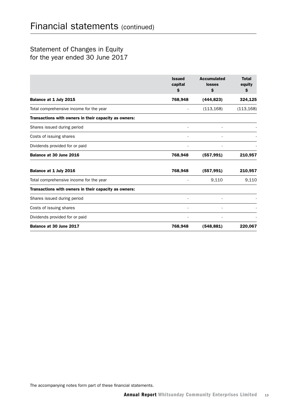## Statement of Changes in Equity for the year ended 30 June 2017

|                                                       | <b>Issued</b><br>capital<br>s | <b>Accumulated</b><br>losses<br>\$ | <b>Total</b><br>equity<br>\$ |
|-------------------------------------------------------|-------------------------------|------------------------------------|------------------------------|
| Balance at 1 July 2015                                | 768,948                       | (444, 823)                         | 324,125                      |
| Total comprehensive income for the year               |                               | (113, 168)                         | (113, 168)                   |
| Transactions with owners in their capacity as owners: |                               |                                    |                              |
| Shares issued during period                           |                               |                                    |                              |
| Costs of issuing shares                               |                               |                                    |                              |
| Dividends provided for or paid                        |                               |                                    |                              |
| Balance at 30 June 2016                               | 768,948                       | (557, 991)                         | 210,957                      |
| Balance at 1 July 2016                                | 768,948                       | (557, 991)                         | 210,957                      |
| Total comprehensive income for the year               |                               | 9,110                              | 9,110                        |
| Transactions with owners in their capacity as owners: |                               |                                    |                              |
| Shares issued during period                           |                               |                                    |                              |
| Costs of issuing shares                               |                               |                                    |                              |
| Dividends provided for or paid                        |                               |                                    |                              |
| Balance at 30 June 2017                               | 768,948                       | (548, 881)                         | 220,067                      |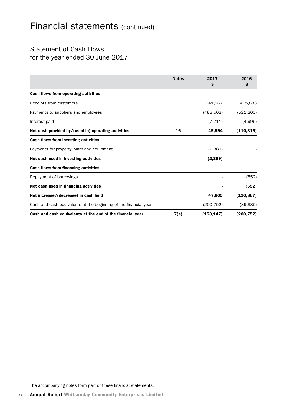## Statement of Cash Flows for the year ended 30 June 2017

|                                                                  | <b>Notes</b> | 2017<br>s  | 2016<br>\$ |
|------------------------------------------------------------------|--------------|------------|------------|
| <b>Cash flows from operating activities</b>                      |              |            |            |
| Receipts from customers                                          |              | 541,267    | 415,883    |
| Payments to suppliers and employees                              |              | (483, 562) | (521, 203) |
| Interest paid                                                    |              | (7, 711)   | (4,995)    |
| Net cash provided by/(used in) operating activities              | 16           | 49,994     | (110, 315) |
| Cash flows from investing activities                             |              |            |            |
| Payments for property, plant and equipment                       |              | (2,389)    |            |
| Net cash used in investing activities                            |              | (2,389)    |            |
| <b>Cash flows from financing activities</b>                      |              |            |            |
| Repayment of borrowings                                          |              |            | (552)      |
| Net cash used in financing activities                            |              |            | (552)      |
| Net increase/(decrease) in cash held                             |              | 47,605     | (110, 867) |
| Cash and cash equivalents at the beginning of the financial year |              | (200, 752) | (89, 885)  |
| Cash and cash equivalents at the end of the financial year       | 7(a)         | (153, 147) | (200, 752) |

The accompanying notes form part of these financial statements.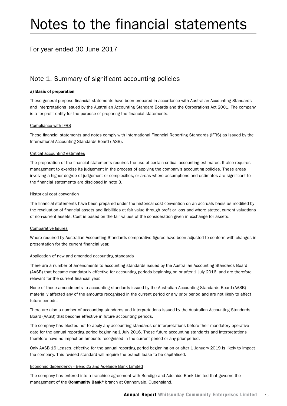## Notes to the financial statements

## For year ended 30 June 2017

### Note 1. Summary of significant accounting policies

#### a) Basis of preparation

These general purpose financial statements have been prepared in accordance with Australian Accounting Standards and Interpretations issued by the Australian Accounting Standard Boards and the Corporations Act 2001. The company is a for-profit entity for the purpose of preparing the financial statements.

#### Compliance with IFRS

These financial statements and notes comply with International Financial Reporting Standards (IFRS) as issued by the International Accounting Standards Board (IASB).

#### Critical accounting estimates

The preparation of the financial statements requires the use of certain critical accounting estimates. It also requires management to exercise its judgement in the process of applying the company's accounting policies. These areas involving a higher degree of judgement or complexities, or areas where assumptions and estimates are significant to the financial statements are disclosed in note 3.

#### Historical cost convention

The financial statements have been prepared under the historical cost convention on an accruals basis as modified by the revaluation of financial assets and liabilities at fair value through profit or loss and where stated, current valuations of non-current assets. Cost is based on the fair values of the consideration given in exchange for assets.

#### Comparative figures

Where required by Australian Accounting Standards comparative figures have been adjusted to conform with changes in presentation for the current financial year.

#### Application of new and amended accounting standards

There are a number of amendments to accounting standards issued by the Australian Accounting Standards Board (AASB) that became mandatorily effective for accounting periods beginning on or after 1 July 2016, and are therefore relevant for the current financial year.

None of these amendments to accounting standards issued by the Australian Accounting Standards Board (AASB) materially affected any of the amounts recognised in the current period or any prior period and are not likely to affect future periods.

There are also a number of accounting standards and interpretations issued by the Australian Accounting Standards Board (AASB) that become effective in future accounting periods.

The company has elected not to apply any accounting standards or interpretations before their mandatory operative date for the annual reporting period beginning 1 July 2016. These future accounting standards and interpretations therefore have no impact on amounts recognised in the current period or any prior period.

Only AASB 16 Leases, effective for the annual reporting period beginning on or after 1 January 2019 is likely to impact the company. This revised standard will require the branch lease to be capitalised.

#### Economic dependency - Bendigo and Adelaide Bank Limited

The company has entered into a franchise agreement with Bendigo and Adelaide Bank Limited that governs the management of the **Community Bank®** branch at Cannonvale, Queensland.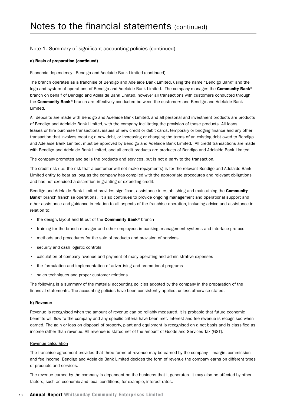#### a) Basis of preparation (continued)

#### Economic dependency - Bendigo and Adelaide Bank Limited (continued)

The branch operates as a franchise of Bendigo and Adelaide Bank Limited, using the name "Bendigo Bank" and the logo and system of operations of Bendigo and Adelaide Bank Limited. The company manages the Community Bank® branch on behalf of Bendigo and Adelaide Bank Limited, however all transactions with customers conducted through the Community Bank® branch are effectively conducted between the customers and Bendigo and Adelaide Bank Limited.

All deposits are made with Bendigo and Adelaide Bank Limited, and all personal and investment products are products of Bendigo and Adelaide Bank Limited, with the company facilitating the provision of those products. All loans, leases or hire purchase transactions, issues of new credit or debit cards, temporary or bridging finance and any other transaction that involves creating a new debt, or increasing or changing the terms of an existing debt owed to Bendigo and Adelaide Bank Limited, must be approved by Bendigo and Adelaide Bank Limited. All credit transactions are made with Bendigo and Adelaide Bank Limited, and all credit products are products of Bendigo and Adelaide Bank Limited.

The company promotes and sells the products and services, but is not a party to the transaction.

The credit risk (i.e. the risk that a customer will not make repayments) is for the relevant Bendigo and Adelaide Bank Limited entity to bear as long as the company has complied with the appropriate procedures and relevant obligations and has not exercised a discretion in granting or extending credit.

Bendigo and Adelaide Bank Limited provides significant assistance in establishing and maintaining the **Community** Bank<sup>®</sup> branch franchise operations. It also continues to provide ongoing management and operational support and other assistance and guidance in relation to all aspects of the franchise operation, including advice and assistance in relation to:

- $\cdot$  the design, layout and fit out of the **Community Bank**<sup>®</sup> branch
- training for the branch manager and other employees in banking, management systems and interface protocol
- methods and procedures for the sale of products and provision of services
- security and cash logistic controls
- calculation of company revenue and payment of many operating and administrative expenses
- the formulation and implementation of advertising and promotional programs
- sales techniques and proper customer relations.

The following is a summary of the material accounting policies adopted by the company in the preparation of the financial statements. The accounting policies have been consistently applied, unless otherwise stated.

#### b) Revenue

Revenue is recognised when the amount of revenue can be reliably measured, it is probable that future economic benefits will flow to the company and any specific criteria have been met. Interest and fee revenue is recognised when earned. The gain or loss on disposal of property, plant and equipment is recognised on a net basis and is classified as income rather than revenue. All revenue is stated net of the amount of Goods and Services Tax (GST).

#### Revenue calculation

The franchise agreement provides that three forms of revenue may be earned by the company – margin, commission and fee income. Bendigo and Adelaide Bank Limited decides the form of revenue the company earns on different types of products and services.

The revenue earned by the company is dependent on the business that it generates. It may also be affected by other factors, such as economic and local conditions, for example, interest rates.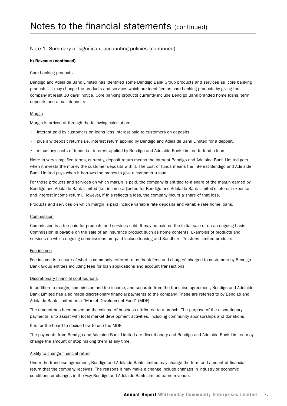#### b) Revenue (continued)

#### Core banking products

Bendigo and Adelaide Bank Limited has identified some Bendigo Bank Group products and services as 'core banking products'. It may change the products and services which are identified as core banking products by giving the company at least 30 days' notice. Core banking products currently include Bendigo Bank branded home loans, term deposits and at call deposits.

#### Margin

Margin is arrived at through the following calculation:

- Interest paid by customers on loans less interest paid to customers on deposits
- plus any deposit returns i.e. interest return applied by Bendigo and Adelaide Bank Limited for a deposit,
- minus any costs of funds i.e. interest applied by Bendigo and Adelaide Bank Limited to fund a loan.

Note: In very simplified terms, currently, deposit return means the interest Bendigo and Adelaide Bank Limited gets when it invests the money the customer deposits with it. The cost of funds means the interest Bendigo and Adelaide Bank Limited pays when it borrows the money to give a customer a loan.

For those products and services on which margin is paid, the company is entitled to a share of the margin earned by Bendigo and Adelaide Bank Limited (i.e. income adjusted for Bendigo and Adelaide Bank Limited's interest expense and interest income return). However, if this reflects a loss, the company incurs a share of that loss.

Products and services on which margin is paid include variable rate deposits and variable rate home loans.

#### Commission

Commission is a fee paid for products and services sold. It may be paid on the initial sale or on an ongoing basis. Commission is payable on the sale of an insurance product such as home contents. Examples of products and services on which ongoing commissions are paid include leasing and Sandhurst Trustees Limited products.

#### Fee income

Fee income is a share of what is commonly referred to as 'bank fees and charges' charged to customers by Bendigo Bank Group entities including fees for loan applications and account transactions.

#### Discretionary financial contributions

In addition to margin, commission and fee income, and separate from the franchise agreement, Bendigo and Adelaide Bank Limited has also made discretionary financial payments to the company. These are referred to by Bendigo and Adelaide Bank Limited as a "Market Development Fund" (MDF).

The amount has been based on the volume of business attributed to a branch. The purpose of the discretionary payments is to assist with local market development activities, including community sponsorships and donations.

It is for the board to decide how to use the MDF.

The payments from Bendigo and Adelaide Bank Limited are discretionary and Bendigo and Adelaide Bank Limited may change the amount or stop making them at any time.

#### Ability to change financial return

Under the franchise agreement, Bendigo and Adelaide Bank Limited may change the form and amount of financial return that the company receives. The reasons it may make a change include changes in industry or economic conditions or changes in the way Bendigo and Adelaide Bank Limited earns revenue.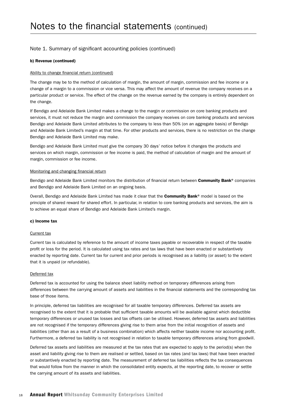#### b) Revenue (continued)

#### Ability to change financial return (continued)

The change may be to the method of calculation of margin, the amount of margin, commission and fee income or a change of a margin to a commission or vice versa. This may affect the amount of revenue the company receives on a particular product or service. The effect of the change on the revenue earned by the company is entirely dependent on the change.

If Bendigo and Adelaide Bank Limited makes a change to the margin or commission on core banking products and services, it must not reduce the margin and commission the company receives on core banking products and services Bendigo and Adelaide Bank Limited attributes to the company to less than 50% (on an aggregate basis) of Bendigo and Adelaide Bank Limited's margin at that time. For other products and services, there is no restriction on the change Bendigo and Adelaide Bank Limited may make.

Bendigo and Adelaide Bank Limited must give the company 30 days' notice before it changes the products and services on which margin, commission or fee income is paid, the method of calculation of margin and the amount of margin, commission or fee income.

#### Monitoring and changing financial return

Bendigo and Adelaide Bank Limited monitors the distribution of financial return between Community Bank® companies and Bendigo and Adelaide Bank Limited on an ongoing basis.

Overall, Bendigo and Adelaide Bank Limited has made it clear that the **Community Bank®** model is based on the principle of shared reward for shared effort. In particular, in relation to core banking products and services, the aim is to achieve an equal share of Bendigo and Adelaide Bank Limited's margin.

#### c) Income tax

#### Current tax

Current tax is calculated by reference to the amount of income taxes payable or recoverable in respect of the taxable profit or loss for the period. It is calculated using tax rates and tax laws that have been enacted or substantively enacted by reporting date. Current tax for current and prior periods is recognised as a liability (or asset) to the extent that it is unpaid (or refundable).

#### Deferred tax

Deferred tax is accounted for using the balance sheet liability method on temporary differences arising from differences between the carrying amount of assets and liabilities in the financial statements and the corresponding tax base of those items.

In principle, deferred tax liabilities are recognised for all taxable temporary differences. Deferred tax assets are recognised to the extent that it is probable that sufficient taxable amounts will be available against which deductible temporary differences or unused tax losses and tax offsets can be utilised. However, deferred tax assets and liabilities are not recognised if the temporary differences giving rise to them arise from the initial recognition of assets and liabilities (other than as a result of a business combination) which affects neither taxable income nor accounting profit. Furthermore, a deferred tax liability is not recognised in relation to taxable temporary differences arising from goodwill.

Deferred tax assets and liabilities are measured at the tax rates that are expected to apply to the period(s) when the asset and liability giving rise to them are realised or settled, based on tax rates (and tax laws) that have been enacted or substantively enacted by reporting date. The measurement of deferred tax liabilities reflects the tax consequences that would follow from the manner in which the consolidated entity expects, at the reporting date, to recover or settle the carrying amount of its assets and liabilities.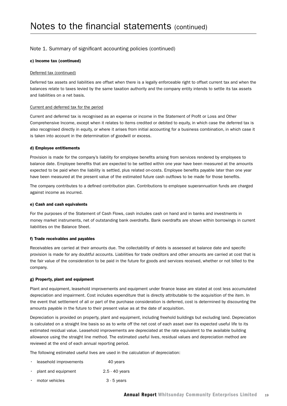#### c) Income tax (continued)

#### Deferred tax (continued)

Deferred tax assets and liabilities are offset when there is a legally enforceable right to offset current tax and when the balances relate to taxes levied by the same taxation authority and the company entity intends to settle its tax assets and liabilities on a net basis.

#### Current and deferred tax for the period

Current and deferred tax is recognised as an expense or income in the Statement of Profit or Loss and Other Comprehensive Income, except when it relates to items credited or debited to equity, in which case the deferred tax is also recognised directly in equity, or where it arises from initial accounting for a business combination, in which case it is taken into account in the determination of goodwill or excess.

#### d) Employee entitlements

Provision is made for the company's liability for employee benefits arising from services rendered by employees to balance date. Employee benefits that are expected to be settled within one year have been measured at the amounts expected to be paid when the liability is settled, plus related on-costs. Employee benefits payable later than one year have been measured at the present value of the estimated future cash outflows to be made for those benefits.

The company contributes to a defined contribution plan. Contributions to employee superannuation funds are charged against income as incurred.

#### e) Cash and cash equivalents

For the purposes of the Statement of Cash Flows, cash includes cash on hand and in banks and investments in money market instruments, net of outstanding bank overdrafts. Bank overdrafts are shown within borrowings in current liabilities on the Balance Sheet.

#### f) Trade receivables and payables

Receivables are carried at their amounts due. The collectability of debts is assessed at balance date and specific provision is made for any doubtful accounts. Liabilities for trade creditors and other amounts are carried at cost that is the fair value of the consideration to be paid in the future for goods and services received, whether or not billed to the company.

#### g) Property, plant and equipment

Plant and equipment, leasehold improvements and equipment under finance lease are stated at cost less accumulated depreciation and impairment. Cost includes expenditure that is directly attributable to the acquisition of the item. In the event that settlement of all or part of the purchase consideration is deferred, cost is determined by discounting the amounts payable in the future to their present value as at the date of acquisition.

Depreciation is provided on property, plant and equipment, including freehold buildings but excluding land. Depreciation is calculated on a straight line basis so as to write off the net cost of each asset over its expected useful life to its estimated residual value. Leasehold improvements are depreciated at the rate equivalent to the available building allowance using the straight line method. The estimated useful lives, residual values and depreciation method are reviewed at the end of each annual reporting period.

The following estimated useful lives are used in the calculation of depreciation:

|  | leasehold improvements | 40 years |
|--|------------------------|----------|
|--|------------------------|----------|

- plant and equipment 2.5 40 years
- motor vehicles 3 5 years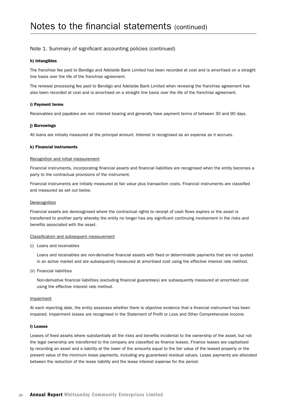#### h) Intangibles

The franchise fee paid to Bendigo and Adelaide Bank Limited has been recorded at cost and is amortised on a straight line basis over the life of the franchise agreement.

The renewal processing fee paid to Bendigo and Adelaide Bank Limited when renewing the franchise agreement has also been recorded at cost and is amortised on a straight line basis over the life of the franchise agreement.

#### i) Payment terms

Receivables and payables are non interest bearing and generally have payment terms of between 30 and 90 days.

#### j) Borrowings

All loans are initially measured at the principal amount. Interest is recognised as an expense as it accrues.

#### k) Financial instruments

#### Recognition and initial measurement

Financial instruments, incorporating financial assets and financial liabilities are recognised when the entity becomes a party to the contractual provisions of the instrument.

Financial instruments are initially measured at fair value plus transaction costs. Financial instruments are classified and measured as set out below.

#### **Derecognition**

Financial assets are derecognised where the contractual rights to receipt of cash flows expires or the asset is transferred to another party whereby the entity no longer has any significant continuing involvement in the risks and benefits associated with the asset.

#### Classification and subsequent measurement

(i) Loans and receivables

Loans and receivables are non-derivative financial assets with fixed or determinable payments that are not quoted in an active market and are subsequently measured at amortised cost using the effective interest rate method.

(ii) Financial liabilities

Non-derivative financial liabilities (excluding financial guarantees) are subsequently measured at amortised cost using the effective interest rate method.

#### Impairment

At each reporting date, the entity assesses whether there is objective evidence that a financial instrument has been impaired. Impairment losses are recognised in the Statement of Profit or Loss and Other Comprehensive Income.

#### l) Leases

Leases of fixed assets where substantially all the risks and benefits incidental to the ownership of the asset, but not the legal ownership are transferred to the company are classified as finance leases. Finance leases are capitalised by recording an asset and a liability at the lower of the amounts equal to the fair value of the leased property or the present value of the minimum lease payments, including any guaranteed residual values. Lease payments are allocated between the reduction of the lease liability and the lease interest expense for the period.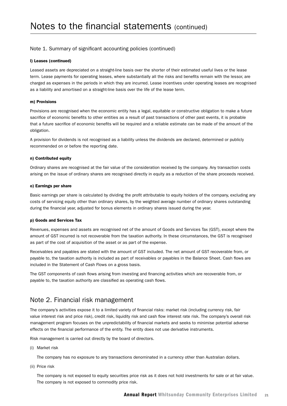#### l) Leases (continued)

Leased assets are depreciated on a straight-line basis over the shorter of their estimated useful lives or the lease term. Lease payments for operating leases, where substantially all the risks and benefits remain with the lessor, are charged as expenses in the periods in which they are incurred. Lease incentives under operating leases are recognised as a liability and amortised on a straight-line basis over the life of the lease term.

#### m) Provisions

Provisions are recognised when the economic entity has a legal, equitable or constructive obligation to make a future sacrifice of economic benefits to other entities as a result of past transactions of other past events, it is probable that a future sacrifice of economic benefits will be required and a reliable estimate can be made of the amount of the obligation.

A provision for dividends is not recognised as a liability unless the dividends are declared, determined or publicly recommended on or before the reporting date.

#### n) Contributed equity

Ordinary shares are recognised at the fair value of the consideration received by the company. Any transaction costs arising on the issue of ordinary shares are recognised directly in equity as a reduction of the share proceeds received.

#### o) Earnings per share

Basic earnings per share is calculated by dividing the profit attributable to equity holders of the company, excluding any costs of servicing equity other than ordinary shares, by the weighted average number of ordinary shares outstanding during the financial year, adjusted for bonus elements in ordinary shares issued during the year.

#### p) Goods and Services Tax

Revenues, expenses and assets are recognised net of the amount of Goods and Services Tax (GST), except where the amount of GST incurred is not recoverable from the taxation authority. In these circumstances, the GST is recognised as part of the cost of acquisition of the asset or as part of the expense.

Receivables and payables are stated with the amount of GST included. The net amount of GST recoverable from, or payable to, the taxation authority is included as part of receivables or payables in the Balance Sheet. Cash flows are included in the Statement of Cash Flows on a gross basis.

The GST components of cash flows arising from investing and financing activities which are recoverable from, or payable to, the taxation authority are classified as operating cash flows.

### Note 2. Financial risk management

The company's activities expose it to a limited variety of financial risks: market risk (including currency risk, fair value interest risk and price risk), credit risk, liquidity risk and cash flow interest rate risk. The company's overall risk management program focuses on the unpredictability of financial markets and seeks to minimise potential adverse effects on the financial performance of the entity. The entity does not use derivative instruments.

Risk management is carried out directly by the board of directors.

(i) Market risk

The company has no exposure to any transactions denominated in a currency other than Australian dollars.

(ii) Price risk

The company is not exposed to equity securities price risk as it does not hold investments for sale or at fair value. The company is not exposed to commodity price risk.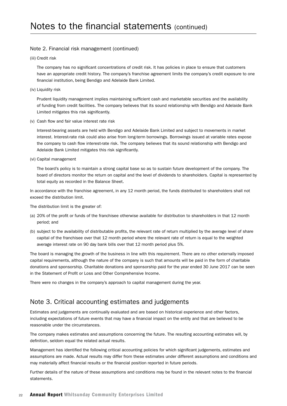#### Note 2. Financial risk management (continued)

(iii) Credit risk

The company has no significant concentrations of credit risk. It has policies in place to ensure that customers have an appropriate credit history. The company's franchise agreement limits the company's credit exposure to one financial institution, being Bendigo and Adelaide Bank Limited.

(iv) Liquidity risk

Prudent liquidity management implies maintaining sufficient cash and marketable securities and the availability of funding from credit facilities. The company believes that its sound relationship with Bendigo and Adelaide Bank Limited mitigates this risk significantly.

(v) Cash flow and fair value interest rate risk

Interest-bearing assets are held with Bendigo and Adelaide Bank Limited and subject to movements in market interest. Interest-rate risk could also arise from long-term borrowings. Borrowings issued at variable rates expose the company to cash flow interest-rate risk. The company believes that its sound relationship with Bendigo and Adelaide Bank Limited mitigates this risk significantly.

(vi) Capital management

The board's policy is to maintain a strong capital base so as to sustain future development of the company. The board of directors monitor the return on capital and the level of dividends to shareholders. Capital is represented by total equity as recorded in the Balance Sheet.

In accordance with the franchise agreement, in any 12 month period, the funds distributed to shareholders shall not exceed the distribution limit.

The distribution limit is the greater of:

- (a) 20% of the profit or funds of the franchisee otherwise available for distribution to shareholders in that 12 month period; and
- (b) subject to the availability of distributable profits, the relevant rate of return multiplied by the average level of share capital of the franchisee over that 12 month period where the relevant rate of return is equal to the weighted average interest rate on 90 day bank bills over that 12 month period plus 5%.

The board is managing the growth of the business in line with this requirement. There are no other externally imposed capital requirements, although the nature of the company is such that amounts will be paid in the form of charitable donations and sponsorship. Charitable donations and sponsorship paid for the year ended 30 June 2017 can be seen in the Statement of Profit or Loss and Other Comprehensive Income.

There were no changes in the company's approach to capital management during the year.

#### Note 3. Critical accounting estimates and judgements

Estimates and judgements are continually evaluated and are based on historical experience and other factors, including expectations of future events that may have a financial impact on the entity and that are believed to be reasonable under the circumstances.

The company makes estimates and assumptions concerning the future. The resulting accounting estimates will, by definition, seldom equal the related actual results.

Management has identified the following critical accounting policies for which significant judgements, estimates and assumptions are made. Actual results may differ from these estimates under different assumptions and conditions and may materially affect financial results or the financial position reported in future periods.

Further details of the nature of these assumptions and conditions may be found in the relevant notes to the financial statements.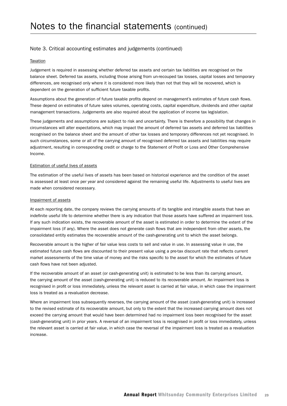#### Note 3. Critical accounting estimates and judgements (continued)

#### **Taxation**

Judgement is required in assessing whether deferred tax assets and certain tax liabilities are recognised on the balance sheet. Deferred tax assets, including those arising from un-recouped tax losses, capital losses and temporary differences, are recognised only where it is considered more likely than not that they will be recovered, which is dependent on the generation of sufficient future taxable profits.

Assumptions about the generation of future taxable profits depend on management's estimates of future cash flows. These depend on estimates of future sales volumes, operating costs, capital expenditure, dividends and other capital management transactions. Judgements are also required about the application of income tax legislation.

These judgements and assumptions are subject to risk and uncertainty. There is therefore a possibility that changes in circumstances will alter expectations, which may impact the amount of deferred tax assets and deferred tax liabilities recognised on the balance sheet and the amount of other tax losses and temporary differences not yet recognised. In such circumstances, some or all of the carrying amount of recognised deferred tax assets and liabilities may require adjustment, resulting in corresponding credit or charge to the Statement of Profit or Loss and Other Comprehensive Income.

#### Estimation of useful lives of assets

The estimation of the useful lives of assets has been based on historical experience and the condition of the asset is assessed at least once per year and considered against the remaining useful life. Adjustments to useful lives are made when considered necessary.

#### Impairment of assets

At each reporting date, the company reviews the carrying amounts of its tangible and intangible assets that have an indefinite useful life to determine whether there is any indication that those assets have suffered an impairment loss. If any such indication exists, the recoverable amount of the asset is estimated in order to determine the extent of the impairment loss (if any). Where the asset does not generate cash flows that are independent from other assets, the consolidated entity estimates the recoverable amount of the cash-generating unit to which the asset belongs.

Recoverable amount is the higher of fair value less costs to sell and value in use. In assessing value in use, the estimated future cash flows are discounted to their present value using a pre-tax discount rate that reflects current market assessments of the time value of money and the risks specific to the asset for which the estimates of future cash flows have not been adjusted.

If the recoverable amount of an asset (or cash-generating unit) is estimated to be less than its carrying amount, the carrying amount of the asset (cash-generating unit) is reduced to its recoverable amount. An impairment loss is recognised in profit or loss immediately, unless the relevant asset is carried at fair value, in which case the impairment loss is treated as a revaluation decrease.

Where an impairment loss subsequently reverses, the carrying amount of the asset (cash-generating unit) is increased to the revised estimate of its recoverable amount, but only to the extent that the increased carrying amount does not exceed the carrying amount that would have been determined had no impairment loss been recognised for the asset (cash-generating unit) in prior years. A reversal of an impairment loss is recognised in profit or loss immediately, unless the relevant asset is carried at fair value, in which case the reversal of the impairment loss is treated as a revaluation increase.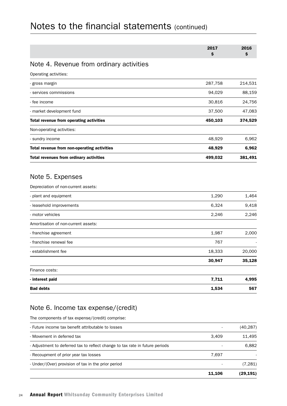| \$<br>Note 4. Revenue from ordinary activities<br>Operating activities:<br>287,758<br>gross margin<br>94,029<br>- services commissions<br>- fee income<br>30,816<br>- market development fund<br>37,500<br>450,103<br>Total revenue from operating activities<br>Non-operating activities:<br>- sundry income<br>48,929<br>Total revenue from non-operating activities<br>48,929<br>Total revenues from ordinary activities<br>499,032 | \$<br>214,531<br>88,159 |
|----------------------------------------------------------------------------------------------------------------------------------------------------------------------------------------------------------------------------------------------------------------------------------------------------------------------------------------------------------------------------------------------------------------------------------------|-------------------------|
|                                                                                                                                                                                                                                                                                                                                                                                                                                        |                         |
|                                                                                                                                                                                                                                                                                                                                                                                                                                        |                         |
|                                                                                                                                                                                                                                                                                                                                                                                                                                        |                         |
|                                                                                                                                                                                                                                                                                                                                                                                                                                        |                         |
|                                                                                                                                                                                                                                                                                                                                                                                                                                        |                         |
|                                                                                                                                                                                                                                                                                                                                                                                                                                        | 24,756                  |
|                                                                                                                                                                                                                                                                                                                                                                                                                                        | 47,083                  |
|                                                                                                                                                                                                                                                                                                                                                                                                                                        | 374,529                 |
|                                                                                                                                                                                                                                                                                                                                                                                                                                        |                         |
|                                                                                                                                                                                                                                                                                                                                                                                                                                        | 6,962                   |
|                                                                                                                                                                                                                                                                                                                                                                                                                                        | 6,962                   |
|                                                                                                                                                                                                                                                                                                                                                                                                                                        | 381,491                 |
| Note 5. Expenses                                                                                                                                                                                                                                                                                                                                                                                                                       |                         |
| Depreciation of non-current assets:                                                                                                                                                                                                                                                                                                                                                                                                    |                         |
| 1,290<br>- plant and equipment                                                                                                                                                                                                                                                                                                                                                                                                         | 1,464                   |
| - leasehold improvements<br>6,324                                                                                                                                                                                                                                                                                                                                                                                                      | 9,418                   |
| - motor vehicles<br>2,246                                                                                                                                                                                                                                                                                                                                                                                                              | 2,246                   |
| Amortisation of non-current assets:                                                                                                                                                                                                                                                                                                                                                                                                    |                         |
| 1,987<br>- franchise agreement                                                                                                                                                                                                                                                                                                                                                                                                         | 2,000                   |
| - franchise renewal fee<br>767                                                                                                                                                                                                                                                                                                                                                                                                         |                         |
| 18,333<br>- establishment fee                                                                                                                                                                                                                                                                                                                                                                                                          | 20,000                  |
| 30,947                                                                                                                                                                                                                                                                                                                                                                                                                                 | 35,128                  |
| Finance costs:                                                                                                                                                                                                                                                                                                                                                                                                                         |                         |
| 7,711<br>- interest paid                                                                                                                                                                                                                                                                                                                                                                                                               | 4,995                   |
| <b>Bad debts</b><br>1,534                                                                                                                                                                                                                                                                                                                                                                                                              |                         |

### Note 6. Income tax expense/(credit)

The components of tax expense/(credit) comprise:

|                                                                              | 11.106 | (29, 191) |
|------------------------------------------------------------------------------|--------|-----------|
| - Under/(Over) provision of tax in the prior period                          |        | (7,281)   |
| - Recoupment of prior year tax losses                                        | 7.697  |           |
| - Adjustment to deferred tax to reflect change to tax rate in future periods |        | 6.882     |
| - Movement in deferred tax                                                   | 3.409  | 11.495    |
| - Future income tax benefit attributable to losses                           | ٠      | (40, 287) |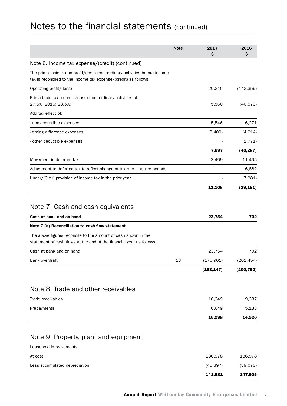|                                                                                                                                                | <b>Note</b> | 2017       | 2016       |
|------------------------------------------------------------------------------------------------------------------------------------------------|-------------|------------|------------|
|                                                                                                                                                |             | \$         | S          |
| Note 6. Income tax expense/(credit) (continued)                                                                                                |             |            |            |
| The prima facie tax on profit/(loss) from ordinary activities before income<br>tax is reconciled to the income tax expense/(credit) as follows |             |            |            |
| Operating profit/(loss)                                                                                                                        |             | 20,216     | (142, 359) |
| Prima facie tax on profit/(loss) from ordinary activities at<br>27.5% (2016: 28.5%)                                                            |             | 5,560      | (40, 573)  |
| Add tax effect of:                                                                                                                             |             |            |            |
| - non-deductible expenses                                                                                                                      |             | 5,546      | 6,271      |
| - timing difference expenses                                                                                                                   |             | (3,409)    | (4, 214)   |
| - other deductible expenses                                                                                                                    |             |            | (1, 771)   |
|                                                                                                                                                |             | 7,697      | (40, 287)  |
| Movement in deferred tax                                                                                                                       |             | 3,409      | 11,495     |
| Adjustment to deferred tax to reflect change of tax rate in future periods                                                                     |             |            | 6,882      |
| Under/(Over) provision of income tax in the prior year                                                                                         |             |            | (7, 281)   |
|                                                                                                                                                |             | 11,106     | (29, 191)  |
| Note 7. Cash and cash equivalents                                                                                                              |             |            |            |
| Cash at bank and on hand                                                                                                                       |             | 23,754     | 702        |
| Note 7.(a) Reconciliation to cash flow statement                                                                                               |             |            |            |
| The above figures reconcile to the amount of cash shown in the<br>statement of cash flows at the end of the financial year as follows:         |             |            |            |
| Cash at bank and on hand                                                                                                                       |             | 23,754     | 702        |
| Bank overdraft                                                                                                                                 | 13          | (176, 901) | (201, 454) |
|                                                                                                                                                |             | (153, 147) | (200, 752) |
| Note 8. Trade and other receivables                                                                                                            |             |            |            |
| Trade receivables                                                                                                                              |             | 10,349     | 9,387      |
| Prepayments                                                                                                                                    |             | 6,649      | 5,133      |
|                                                                                                                                                |             | 16,998     | 14,520     |
|                                                                                                                                                |             |            |            |

## Note 9. Property, plant and equipment

Leasehold improvements

|                               | 141,581   | 147,905  |
|-------------------------------|-----------|----------|
| Less accumulated depreciation | (45, 397) | (39,073) |
| At cost                       | 186,978   | 186,978  |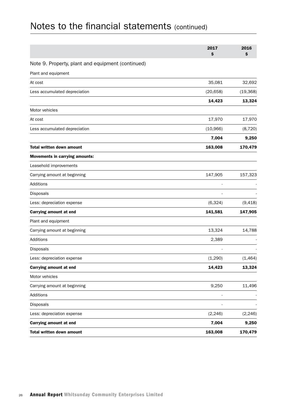|                                                   | 2017<br>\$ | 2016<br>\$ |
|---------------------------------------------------|------------|------------|
| Note 9. Property, plant and equipment (continued) |            |            |
| Plant and equipment                               |            |            |
| At cost                                           | 35,081     | 32,692     |
| Less accumulated depreciation                     | (20, 658)  | (19, 368)  |
|                                                   | 14,423     | 13,324     |
| Motor vehicles                                    |            |            |
| At cost                                           | 17,970     | 17,970     |
| Less accumulated depreciation                     | (10, 966)  | (8, 720)   |
|                                                   | 7,004      | 9,250      |
| <b>Total written down amount</b>                  | 163,008    | 170,479    |
| <b>Movements in carrying amounts:</b>             |            |            |
| Leasehold improvements                            |            |            |
| Carrying amount at beginning                      | 147,905    | 157,323    |
| Additions                                         |            |            |
| Disposals                                         |            |            |
| Less: depreciation expense                        | (6, 324)   | (9, 418)   |
| Carrying amount at end                            | 141,581    | 147,905    |
| Plant and equipment                               |            |            |
| Carrying amount at beginning                      | 13,324     | 14,788     |
| Additions                                         | 2,389      |            |
| Disposals                                         |            |            |
| Less: depreciation expense                        | (1, 290)   | (1, 464)   |
| Carrying amount at end                            | 14,423     | 13,324     |
| Motor vehicles                                    |            |            |
| Carrying amount at beginning                      | 9,250      | 11,496     |
| Additions                                         |            |            |
| Disposals                                         |            |            |
| Less: depreciation expense                        | (2, 246)   | (2, 246)   |
| <b>Carrying amount at end</b>                     | 7,004      | 9,250      |
| Total written down amount                         | 163,008    | 170,479    |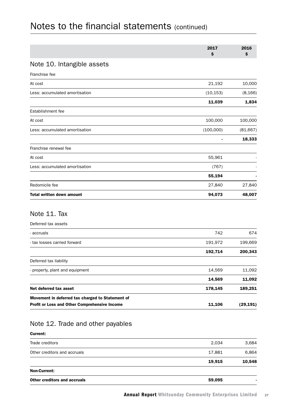|                                  | 2017<br>\$ | 2016<br>\$ |
|----------------------------------|------------|------------|
| Note 10. Intangible assets       |            |            |
| Franchise fee                    |            |            |
| At cost                          | 21,192     | 10,000     |
| Less: accumulated amortisation   | (10, 153)  | (8, 166)   |
|                                  | 11,039     | 1,834      |
| Establishment fee                |            |            |
| At cost                          | 100,000    | 100,000    |
| Less: accumulated amortisation   | (100,000)  | (81, 667)  |
|                                  |            | 18,333     |
| Franchise renewal fee            |            |            |
| At cost                          | 55,961     |            |
| Less: accumulated amortisation   | (767)      |            |
|                                  | 55,194     |            |
| Redomicile fee                   | 27,840     | 27,840     |
| <b>Total written down amount</b> | 94,073     | 48,007     |

#### Deferred tax assets

| Movement in deferred tax charged to Statement of<br><b>Profit or Loss and Other Comprehensive Income</b> | 11,106  | (29, 191) |
|----------------------------------------------------------------------------------------------------------|---------|-----------|
| Net deferred tax asset                                                                                   | 178,145 | 189,251   |
|                                                                                                          | 14,569  | 11,092    |
| - property, plant and equipment                                                                          | 14,569  | 11,092    |
| Deferred tax liability                                                                                   |         |           |
|                                                                                                          | 192,714 | 200,343   |
| - tax losses carried forward                                                                             | 191,972 | 199.669   |
| - accruals                                                                                               | 742     | 674       |
|                                                                                                          |         |           |

## Note 12. Trade and other payables

#### Current:

| Other creditors and accruals | 59,095 |        |
|------------------------------|--------|--------|
| <b>Non-Current:</b>          |        |        |
|                              | 19,915 | 10,548 |
| Other creditors and accruals | 17,881 | 6.864  |
| Trade creditors              | 2.034  | 3,684  |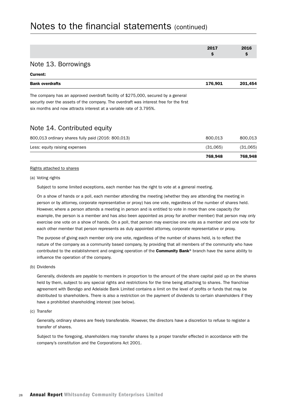|                                                                                        | 2017     | 2016     |
|----------------------------------------------------------------------------------------|----------|----------|
|                                                                                        | \$       | \$       |
| Note 13. Borrowings                                                                    |          |          |
| Current:                                                                               |          |          |
| <b>Bank overdrafts</b>                                                                 | 176,901  | 201,454  |
| The company has an approved overdraft facility of \$275,000, secured by a general      |          |          |
| security over the assets of the company. The overdraft was interest free for the first |          |          |
| six months and now attracts interest at a variable rate of 3.795%.                     |          |          |
| Note 14. Contributed equity                                                            |          |          |
| 800,013 ordinary shares fully paid (2016: 800,013)                                     | 800,013  | 800,013  |
| Less: equity raising expenses                                                          | (31,065) | (31,065) |
|                                                                                        | 768,948  | 768,948  |

#### Rights attached to shares

#### (a) Voting rights

Subject to some limited exceptions, each member has the right to vote at a general meeting.

On a show of hands or a poll, each member attending the meeting (whether they are attending the meeting in person or by attorney, corporate representative or proxy) has one vote, regardless of the number of shares held. However, where a person attends a meeting in person and is entitled to vote in more than one capacity (for example, the person is a member and has also been appointed as proxy for another member) that person may only exercise one vote on a show of hands. On a poll, that person may exercise one vote as a member and one vote for each other member that person represents as duly appointed attorney, corporate representative or proxy.

The purpose of giving each member only one vote, regardless of the number of shares held, is to reflect the nature of the company as a community based company, by providing that all members of the community who have contributed to the establishment and ongoing operation of the **Community Bank®** branch have the same ability to influence the operation of the company.

(b) Dividends

Generally, dividends are payable to members in proportion to the amount of the share capital paid up on the shares held by them, subject to any special rights and restrictions for the time being attaching to shares. The franchise agreement with Bendigo and Adelaide Bank Limited contains a limit on the level of profits or funds that may be distributed to shareholders. There is also a restriction on the payment of dividends to certain shareholders if they have a prohibited shareholding interest (see below).

(c) Transfer

Generally, ordinary shares are freely transferable. However, the directors have a discretion to refuse to register a transfer of shares.

Subject to the foregoing, shareholders may transfer shares by a proper transfer effected in accordance with the company's constitution and the Corporations Act 2001.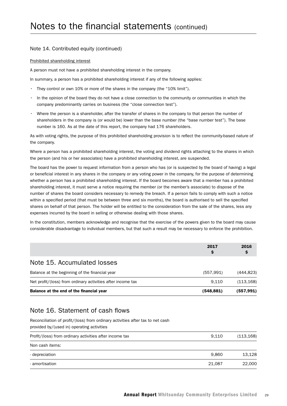#### Note 14. Contributed equity (continued)

#### Prohibited shareholding interest

A person must not have a prohibited shareholding interest in the company.

In summary, a person has a prohibited shareholding interest if any of the following applies:

- They control or own 10% or more of the shares in the company (the "10% limit").
- In the opinion of the board they do not have a close connection to the community or communities in which the company predominantly carries on business (the "close connection test").
- Where the person is a shareholder, after the transfer of shares in the company to that person the number of shareholders in the company is (or would be) lower than the base number (the "base number test"). The base number is 160. As at the date of this report, the company had 176 shareholders.

As with voting rights, the purpose of this prohibited shareholding provision is to reflect the community-based nature of the company.

Where a person has a prohibited shareholding interest, the voting and dividend rights attaching to the shares in which the person (and his or her associates) have a prohibited shareholding interest, are suspended.

The board has the power to request information from a person who has (or is suspected by the board of having) a legal or beneficial interest in any shares in the company or any voting power in the company, for the purpose of determining whether a person has a prohibited shareholding interest. If the board becomes aware that a member has a prohibited shareholding interest, it must serve a notice requiring the member (or the member's associate) to dispose of the number of shares the board considers necessary to remedy the breach. If a person fails to comply with such a notice within a specified period (that must be between three and six months), the board is authorised to sell the specified shares on behalf of that person. The holder will be entitled to the consideration from the sale of the shares, less any expenses incurred by the board in selling or otherwise dealing with those shares.

In the constitution, members acknowledge and recognise that the exercise of the powers given to the board may cause considerable disadvantage to individual members, but that such a result may be necessary to enforce the prohibition.

|                                                             | 2017<br>Ş | 2016       |
|-------------------------------------------------------------|-----------|------------|
| Note 15. Accumulated losses                                 |           |            |
| Balance at the beginning of the financial year              | (557.991) | (444.823)  |
| Net profit/(loss) from ordinary activities after income tax | 9.110     | (113, 168) |
| Balance at the end of the financial year                    | (548,881) | (557,991)  |

### Note 16. Statement of cash flows

Reconciliation of profit/(loss) from ordinary activities after tax to net cash

| provided by/(used in) operating activities              |       |            |
|---------------------------------------------------------|-------|------------|
| Profit/(loss) from ordinary activities after income tax | 9.110 | (113, 168) |
| Non cash items:                                         |       |            |
| - depreciation                                          | 9.860 | 13.128     |
|                                                         |       |            |

- amortisation 21,087 22,000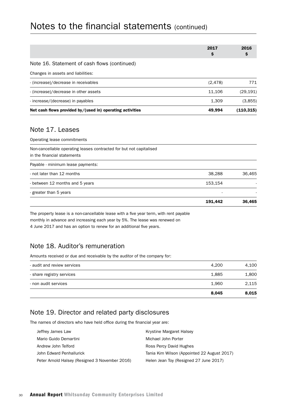|                                                           | 2017<br>\$ | 2016<br>Ş  |
|-----------------------------------------------------------|------------|------------|
| Note 16. Statement of cash flows (continued)              |            |            |
| Changes in assets and liabilities:                        |            |            |
| - (increase)/decrease in receivables                      | (2, 478)   | 771        |
| - (increase)/decrease in other assets                     | 11.106     | (29, 191)  |
| - increase/(decrease) in payables                         | 1.309      | (3,855)    |
| Net cash flows provided by/(used in) operating activities | 49,994     | (110, 315) |

## Note 17. Leases

Operating lease commitments

|                                                                                                    | 191.442 | 36.465 |
|----------------------------------------------------------------------------------------------------|---------|--------|
| - greater than 5 years                                                                             |         |        |
| - between 12 months and 5 years                                                                    | 153,154 |        |
| - not later than 12 months                                                                         | 38,288  | 36,465 |
| Payable - minimum lease payments:                                                                  |         |        |
| Non-cancellable operating leases contracted for but not capitalised<br>in the financial statements |         |        |

The property lease is a non-cancellable lease with a five year term, with rent payable monthly in advance and increasing each year by 5%. The lease was renewed on 4 June 2017 and has an option to renew for an additional five years.

## Note 18. Auditor's remuneration

Amounts received or due and receivable by the auditor of the company for:

|                             | 8.045 | 8,015 |
|-----------------------------|-------|-------|
| - non audit services        | 1.960 | 2,115 |
| - share registry services   | 1.885 | 1,800 |
| - audit and review services | 4.200 | 4.100 |

## Note 19. Director and related party disclosures

The names of directors who have held office during the financial year are:

| Jeffrey James Law                              | Krystine Margaret Halsey                    |
|------------------------------------------------|---------------------------------------------|
| Mario Guido Demartini                          | Michael John Porter                         |
| Andrew John Telford                            | Ross Percy David Hughes                     |
| John Edward Penhallurick                       | Tania Kim Wilson (Appointed 22 August 2017) |
| Peter Arnold Halsey (Resigned 3 November 2016) | Helen Jean Toy (Resigned 27 June 2017)      |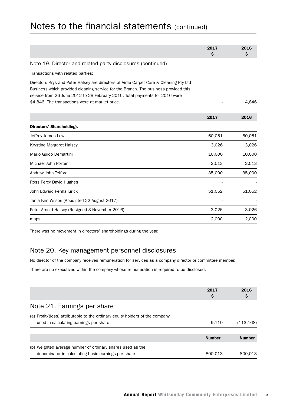|                                                                                        | 2017   | 2016   |
|----------------------------------------------------------------------------------------|--------|--------|
|                                                                                        | \$     | \$     |
| Note 19. Director and related party disclosures (continued)                            |        |        |
| Transactions with related parties:                                                     |        |        |
| Directors Krys and Peter Halsey are directors of Airlie Carpet Care & Cleaning Pty Ltd |        |        |
| Business which provided cleaning service for the Branch. The business provided this    |        |        |
| service from 26 June 2012 to 28 February 2016. Total payments for 2016 were            |        |        |
| \$4,846. The transactions were at market price.                                        |        | 4,846  |
|                                                                                        | 2017   | 2016   |
| <b>Directors' Shareholdings</b>                                                        |        |        |
| Jeffrey James Law                                                                      | 60,051 | 60,051 |
| Krystine Margaret Halsey                                                               | 3,026  | 3,026  |
| Mario Guido Demartini                                                                  | 10,000 | 10,000 |
| Michael John Porter                                                                    | 2,513  | 2,513  |
| Andrew John Telford                                                                    | 35,000 | 35,000 |
| Ross Percy David Hughes                                                                |        |        |
| John Edward Penhallurick                                                               | 51,052 | 51,052 |
| Tania Kim Wilson (Appointed 22 August 2017)                                            |        |        |
| Peter Arnold Halsey (Resigned 3 November 2016)                                         | 3,026  | 3,026  |
| maps                                                                                   | 2,000  | 2,000  |

There was no movement in directors' shareholdings during the year.

### Note 20. Key management personnel disclosures

No director of the company receives remuneration for services as a company director or committee member.

There are no executives within the company whose remuneration is required to be disclosed.

|                                                                                                                        | 2017<br>\$    | 2016<br>Ş     |
|------------------------------------------------------------------------------------------------------------------------|---------------|---------------|
| Note 21. Earnings per share                                                                                            |               |               |
| (a) Profit/(loss) attributable to the ordinary equity holders of the company<br>used in calculating earnings per share | 9.110         | (113, 168)    |
|                                                                                                                        | <b>Number</b> | <b>Number</b> |
| (b) Weighted average number of ordinary shares used as the<br>denominator in calculating basic earnings per share      | 800.013       | 800.013       |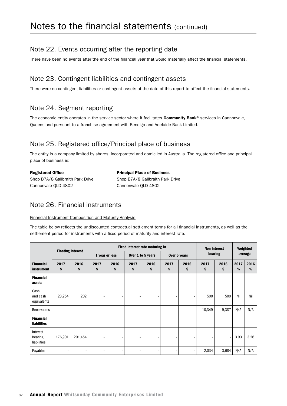## Note 22. Events occurring after the reporting date

There have been no events after the end of the financial year that would materially affect the financial statements.

### Note 23. Contingent liabilities and contingent assets

There were no contingent liabilities or contingent assets at the date of this report to affect the financial statements.

### Note 24. Segment reporting

The economic entity operates in the service sector where it facilitates Community Bank® services in Cannonvale, Queensland pursuant to a franchise agreement with Bendigo and Adelaide Bank Limited.

## Note 25. Registered office/Principal place of business

The entity is a company limited by shares, incorporated and domiciled in Australia. The registered office and principal place of business is:

| <b>Registered Office</b>         | <b>Principal Place of Business</b> |  |  |  |  |
|----------------------------------|------------------------------------|--|--|--|--|
| Shop B7A/8 Gallbraith Park Drive | Shop B7A/8 Gallbraith Park Drive   |  |  |  |  |
| Cannonvale OLD 4802              | Cannonvale OLD 4802                |  |  |  |  |

### Note 26. Financial instruments

#### Financial Instrument Composition and Maturity Analysis

The table below reflects the undiscounted contractual settlement terms for all financial instruments, as well as the settlement period for instruments with a fixed period of maturity and interest rate.

|                                        |            |            | Fixed interest rate maturing in |            |                   |            |              |            | <b>Non interest</b> |            | Weighted  |           |
|----------------------------------------|------------|------------|---------------------------------|------------|-------------------|------------|--------------|------------|---------------------|------------|-----------|-----------|
| <b>Floating interest</b>               |            |            | 1 year or less                  |            | Over 1 to 5 years |            | Over 5 years |            | bearing             |            | average   |           |
| <b>Financial</b><br><i>instrument</i>  | 2017<br>\$ | 2016<br>\$ | 2017<br>\$                      | 2016<br>\$ | 2017<br>\$        | 2016<br>\$ | 2017<br>\$   | 2016<br>\$ | 2017<br>\$          | 2016<br>\$ | 2017<br>% | 2016<br>% |
| <b>Financial</b><br>assets             |            |            |                                 |            |                   |            |              |            |                     |            |           |           |
| Cash<br>and cash<br>equivalents        | 23,254     | 202        |                                 |            |                   |            |              |            | 500                 | 500        | Nil       | Nil       |
| Receivables                            | -          | -          |                                 |            |                   |            |              |            | 10,349              | 9,387      | N/A       | N/A       |
| <b>Financial</b><br><b>liabilities</b> |            |            |                                 |            |                   |            |              |            |                     |            |           |           |
| Interest<br>bearing<br>liabilities     | 176,901    | 201,454    |                                 |            |                   |            |              |            |                     |            | 3.93      | 3.26      |
| Payables                               |            |            |                                 |            |                   |            |              |            | 2,034               | 3,684      | N/A       | N/A       |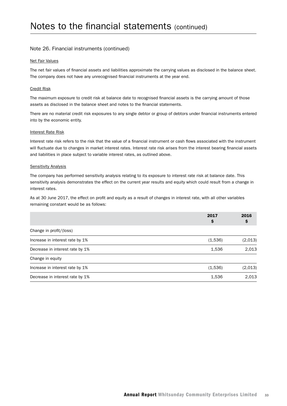#### Note 26. Financial instruments (continued)

#### Net Fair Values

The net fair values of financial assets and liabilities approximate the carrying values as disclosed in the balance sheet. The company does not have any unrecognised financial instruments at the year end.

#### Credit Risk

The maximum exposure to credit risk at balance date to recognised financial assets is the carrying amount of those assets as disclosed in the balance sheet and notes to the financial statements.

There are no material credit risk exposures to any single debtor or group of debtors under financial instruments entered into by the economic entity.

#### Interest Rate Risk

Interest rate risk refers to the risk that the value of a financial instrument or cash flows associated with the instrument will fluctuate due to changes in market interest rates. Interest rate risk arises from the interest bearing financial assets and liabilities in place subject to variable interest rates, as outlined above.

#### Sensitivity Analysis

The company has performed sensitivity analysis relating to its exposure to interest rate risk at balance date. This sensitivity analysis demonstrates the effect on the current year results and equity which could result from a change in interest rates.

As at 30 June 2017, the effect on profit and equity as a result of changes in interest rate, with all other variables remaining constant would be as follows:

|                                 | 2017<br>Ş | 2016    |
|---------------------------------|-----------|---------|
| Change in profit/(loss)         |           |         |
| Increase in interest rate by 1% | (1,536)   | (2,013) |
| Decrease in interest rate by 1% | 1,536     | 2,013   |
| Change in equity                |           |         |
| Increase in interest rate by 1% | (1,536)   | (2,013) |
| Decrease in interest rate by 1% | 1,536     | 2,013   |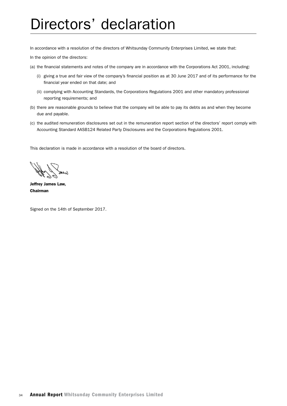## Directors' declaration

In accordance with a resolution of the directors of Whitsunday Community Enterprises Limited, we state that:

In the opinion of the directors:

- (a) the financial statements and notes of the company are in accordance with the Corporations Act 2001, including:
	- (i) giving a true and fair view of the company's financial position as at 30 June 2017 and of its performance for the financial year ended on that date; and
	- (ii) complying with Accounting Standards, the Corporations Regulations 2001 and other mandatory professional reporting requirements; and
- (b) there are reasonable grounds to believe that the company will be able to pay its debts as and when they become due and payable.
- (c) the audited remuneration disclosures set out in the remuneration report section of the directors' report comply with Accounting Standard AASB124 Related Party Disclosures and the Corporations Regulations 2001.

This declaration is made in accordance with a resolution of the board of directors.

leter

Jeffrey James Law, Chairman

Signed on the 14th of September 2017.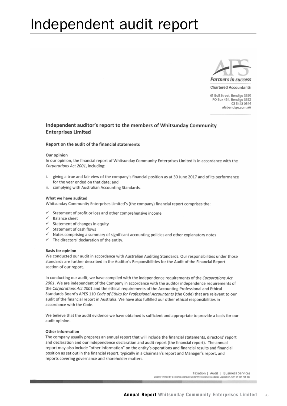## Independent audit report



61 Bull Street, Bendigo 3550 PO Box 454, Bendigo 3552 03 5443 0344 afsbendigo.com.au

#### Independent auditor's report to the members of Whitsunday Community **Enterprises Limited**

#### Report on the audit of the financial statements

#### Our opinion

In our opinion, the financial report of Whitsunday Community Enterprises Limited is in accordance with the Corporations Act 2001, including:

- i. giving a true and fair view of the company's financial position as at 30 June 2017 and of its performance for the year ended on that date; and
- ii. complying with Australian Accounting Standards.

#### What we have audited

Whitsunday Community Enterprises Limited's (the company) financial report comprises the:

- Statement of profit or loss and other comprehensive income
- $\checkmark$  Balance sheet
- $\checkmark$  Statement of changes in equity
- $\checkmark$  Statement of cash flows
- $\checkmark$  Notes comprising a summary of significant accounting policies and other explanatory notes
- $\checkmark$  The directors' declaration of the entity.

#### **Basis for opinion**

We conducted our audit in accordance with Australian Auditing Standards. Our responsibilities under those standards are further described in the Auditor's Responsibilities for the Audit of the Financial Report section of our report.

In conducting our audit, we have complied with the independence requirements of the Corporations Act 2001. We are independent of the Company in accordance with the auditor independence requirements of the Corporations Act 2001 and the ethical requirements of the Accounting Professional and Ethical Standards Board's APES 110 Code of Ethics for Professional Accountants (the Code) that are relevant to our audit of the financial report in Australia. We have also fulfilled our other ethical responsibilities in accordance with the Code.

We believe that the audit evidence we have obtained is sufficient and appropriate to provide a basis for our audit opinion.

#### Other information

The company usually prepares an annual report that will include the financial statements, directors' report and declaration and our independence declaration and audit report (the financial report). The annual report may also include "other information" on the entity's operations and financial results and financial position as set out in the financial report, typically in a Chairman's report and Manager's report, and reports covering governance and shareholder matters.

> Taxation | Audit | Business Services Liability limited by a scheme app slation, ABN 51 061 795 337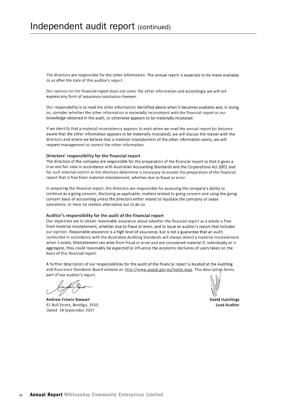The directors are responsible for the other information. The annual report is expected to be made available to us after the date of this auditor's report.

Our opinion on the financial report does not cover the other information and accordingly we will not express any form of assurance conclusion thereon.

Our responsibility is to read the other information identified above when it becomes available and, in doing so, consider whether the other information is materially inconsistent with the financial report or our knowledge obtained in the audit, or otherwise appears to be materially misstated.

If we identify that a material inconsistency appears to exist when we read the annual report (or become aware that the other information appears to be materially misstated), we will discuss the matter with the directors and where we believe that a material misstatement of the other information exists, we will request management to correct the other information.

#### Directors' responsibility for the financial report

The directors of the company are responsible for the preparation of the financial report so that it gives a true and fair view in accordance with Australian Accounting Standards and the Corporations Act 2001 and for such internal control as the directors determine is necessary to enable the preparation of the financial report that is free from material misstatement, whether due to fraud or error.

In preparing the financial report, the directors are responsible for assessing the company's ability to continue as a going concern, disclosing as applicable, matters related to going concern and using the going concern basis of accounting unless the directors either intend to liquidate the company or cease operations, or have no realistic alternative but to do so.

#### Auditor's responsibility for the audit of the financial report

Our objectives are to obtain reasonable assurance about whether the financial report as a whole is free from material misstatement, whether due to fraud or error, and to issue an auditor's report that includes our opinion. Reasonable assurance is a high level of assurance, but is not a guarantee that an audit conducted in accordance with the Australian Auditing Standards will always detect a material misstatement when it exists. Misstatement can arise from fraud or error and are considered material if, individually or in aggregate, they could reasonably be expected to influence the economic decisions of users taken on the basis of this financial report.

A further description of our responsibilities for the audit of the financial report is located at the Auditing and Assurance Standards Board website at: http://www.auasb.gov.au/home.aspx. This description forms part of our auditor's report.

**Andrew Frewin Stewart** 61 Bull Street. Bendigo. 3550 Dated: 14 September 2017

David Hutchings **Lead Auditor**